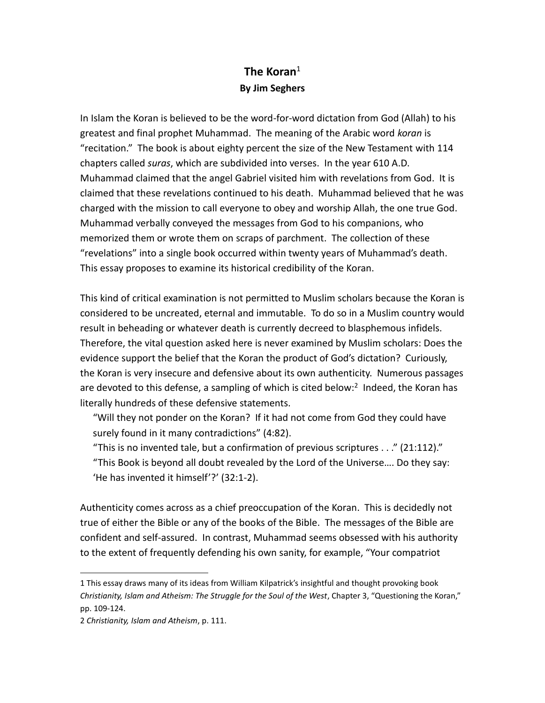## **The Koran**<sup>1</sup> **By Jim Seghers**

In Islam the Koran is believed to be the word-for-word dictation from God (Allah) to his greatest and final prophet Muhammad. The meaning of the Arabic word *koran* is "recitation." The book is about eighty percent the size of the New Testament with 114 chapters called *suras*, which are subdivided into verses. In the year 610 A.D. Muhammad claimed that the angel Gabriel visited him with revelations from God. It is claimed that these revelations continued to his death. Muhammad believed that he was charged with the mission to call everyone to obey and worship Allah, the one true God. Muhammad verbally conveyed the messages from God to his companions, who memorized them or wrote them on scraps of parchment. The collection of these "revelations" into a single book occurred within twenty years of Muhammad's death. This essay proposes to examine its historical credibility of the Koran.

This kind of critical examination is not permitted to Muslim scholars because the Koran is considered to be uncreated, eternal and immutable. To do so in a Muslim country would result in beheading or whatever death is currently decreed to blasphemous infidels. Therefore, the vital question asked here is never examined by Muslim scholars: Does the evidence support the belief that the Koran the product of God's dictation? Curiously, the Koran is very insecure and defensive about its own authenticity. Numerous passages are devoted to this defense, a sampling of which is cited below:<sup>2</sup> Indeed, the Koran has literally hundreds of these defensive statements.

"Will they not ponder on the Koran? If it had not come from God they could have surely found in it many contradictions" (4:82).

"This is no invented tale, but a confirmation of previous scriptures  $\dots$ " (21:112)." "This Book is beyond all doubt revealed by the Lord of the Universe…. Do they say: 'He has invented it himself'?' (32:1-2).

Authenticity comes across as a chief preoccupation of the Koran. This is decidedly not true of either the Bible or any of the books of the Bible. The messages of the Bible are confident and self-assured. In contrast, Muhammad seems obsessed with his authority to the extent of frequently defending his own sanity, for example, "Your compatriot

 $\overline{a}$ 

<sup>1</sup> This essay draws many of its ideas from William Kilpatrick's insightful and thought provoking book *Christianity, Islam and Atheism: The Struggle for the Soul of the West*, Chapter 3, "Questioning the Koran," pp. 109-124.

<sup>2</sup> *Christianity, Islam and Atheism*, p. 111.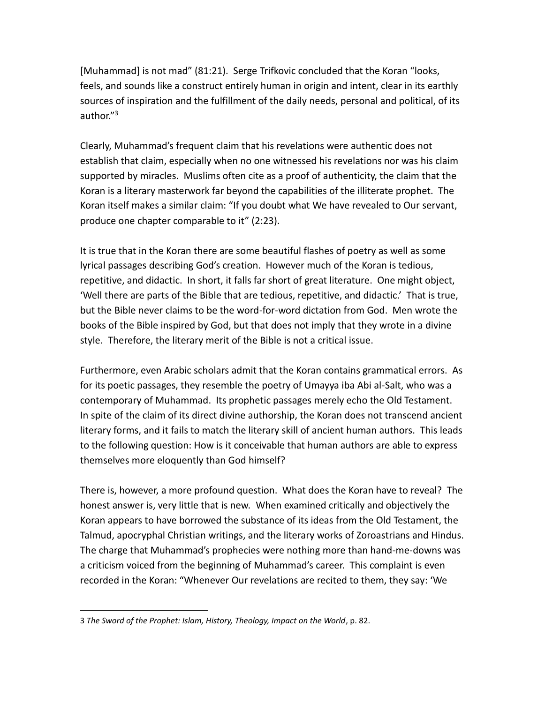[Muhammad] is not mad" (81:21). Serge Trifkovic concluded that the Koran "looks, feels, and sounds like a construct entirely human in origin and intent, clear in its earthly sources of inspiration and the fulfillment of the daily needs, personal and political, of its author."<sup>3</sup>

Clearly, Muhammad's frequent claim that his revelations were authentic does not establish that claim, especially when no one witnessed his revelations nor was his claim supported by miracles. Muslims often cite as a proof of authenticity, the claim that the Koran is a literary masterwork far beyond the capabilities of the illiterate prophet. The Koran itself makes a similar claim: "If you doubt what We have revealed to Our servant, produce one chapter comparable to it" (2:23).

It is true that in the Koran there are some beautiful flashes of poetry as well as some lyrical passages describing God's creation. However much of the Koran is tedious, repetitive, and didactic. In short, it falls far short of great literature. One might object, 'Well there are parts of the Bible that are tedious, repetitive, and didactic.' That is true, but the Bible never claims to be the word-for-word dictation from God. Men wrote the books of the Bible inspired by God, but that does not imply that they wrote in a divine style. Therefore, the literary merit of the Bible is not a critical issue.

Furthermore, even Arabic scholars admit that the Koran contains grammatical errors. As for its poetic passages, they resemble the poetry of Umayya iba Abi al-Salt, who was a contemporary of Muhammad. Its prophetic passages merely echo the Old Testament. In spite of the claim of its direct divine authorship, the Koran does not transcend ancient literary forms, and it fails to match the literary skill of ancient human authors. This leads to the following question: How is it conceivable that human authors are able to express themselves more eloquently than God himself?

There is, however, a more profound question. What does the Koran have to reveal? The honest answer is, very little that is new. When examined critically and objectively the Koran appears to have borrowed the substance of its ideas from the Old Testament, the Talmud, apocryphal Christian writings, and the literary works of Zoroastrians and Hindus. The charge that Muhammad's prophecies were nothing more than hand-me-downs was a criticism voiced from the beginning of Muhammad's career. This complaint is even recorded in the Koran: "Whenever Our revelations are recited to them, they say: 'We

 $\overline{a}$ 

<sup>3</sup> *The Sword of the Prophet: Islam, History, Theology, Impact on the World*, p. 82.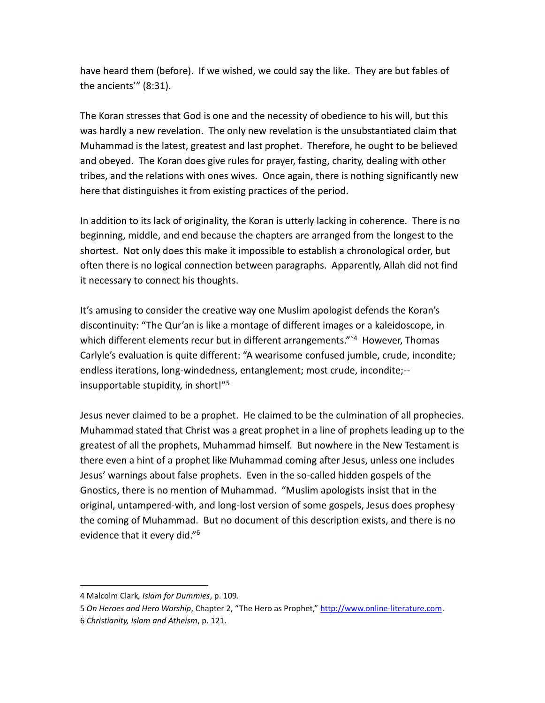have heard them (before). If we wished, we could say the like. They are but fables of the ancients'" (8:31).

The Koran stresses that God is one and the necessity of obedience to his will, but this was hardly a new revelation. The only new revelation is the unsubstantiated claim that Muhammad is the latest, greatest and last prophet. Therefore, he ought to be believed and obeyed. The Koran does give rules for prayer, fasting, charity, dealing with other tribes, and the relations with ones wives. Once again, there is nothing significantly new here that distinguishes it from existing practices of the period.

In addition to its lack of originality, the Koran is utterly lacking in coherence. There is no beginning, middle, and end because the chapters are arranged from the longest to the shortest. Not only does this make it impossible to establish a chronological order, but often there is no logical connection between paragraphs. Apparently, Allah did not find it necessary to connect his thoughts.

It's amusing to consider the creative way one Muslim apologist defends the Koran's discontinuity: "The Qur'an is like a montage of different images or a kaleidoscope, in which different elements recur but in different arrangements."<sup>1</sup> However, Thomas Carlyle's evaluation is quite different: "A wearisome confused jumble, crude, incondite; endless iterations, long-windedness, entanglement; most crude, incondite;- insupportable stupidity, in short!"<sup>5</sup>

Jesus never claimed to be a prophet. He claimed to be the culmination of all prophecies. Muhammad stated that Christ was a great prophet in a line of prophets leading up to the greatest of all the prophets, Muhammad himself. But nowhere in the New Testament is there even a hint of a prophet like Muhammad coming after Jesus, unless one includes Jesus' warnings about false prophets. Even in the so-called hidden gospels of the Gnostics, there is no mention of Muhammad. "Muslim apologists insist that in the original, untampered-with, and long-lost version of some gospels, Jesus does prophesy the coming of Muhammad. But no document of this description exists, and there is no evidence that it every did."<sup>6</sup>

 $\overline{\phantom{a}}$ 

<sup>4</sup> Malcolm Clark*, Islam for Dummies*, p. 109.

<sup>5</sup> *On Heroes and Hero Worship*, Chapter 2, "The Hero as Prophet," [http://www.online-literature.com.](http://www.online-literature.com/) 6 *Christianity, Islam and Atheism*, p. 121.